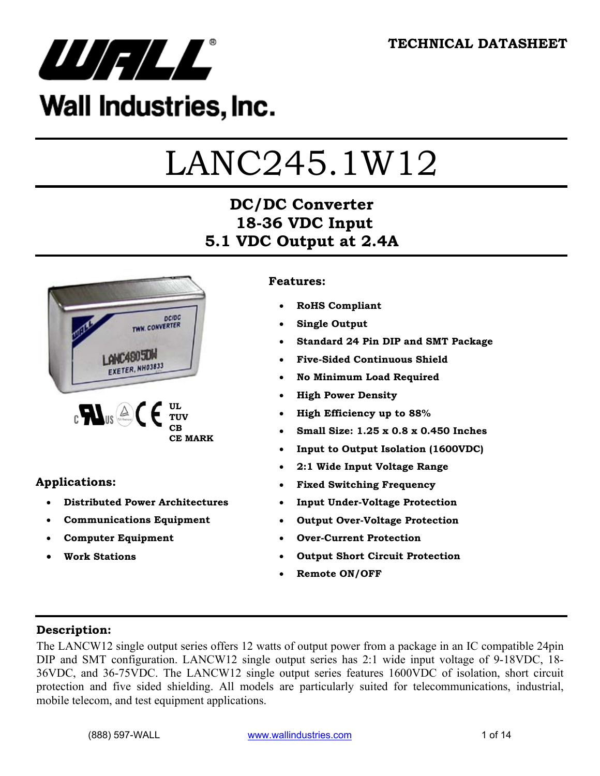

# Wall Industries, Inc.

# LANC245.1W12

# **DC/DC Converter 18-36 VDC Input 5.1 VDC Output at 2.4A**



#### **Applications:**

- **Distributed Power Architectures**
- **Communications Equipment**
- **Computer Equipment**
- **Work Stations**

#### **Features:**

- **RoHS Compliant**
- **Single Output**
- **Standard 24 Pin DIP and SMT Package**
- **Five-Sided Continuous Shield**
- **No Minimum Load Required**
- **High Power Density**
- **High Efficiency up to 88%**
- **Small Size: 1.25 x 0.8 x 0.450 Inches**
- **Input to Output Isolation (1600VDC)**
- **2:1 Wide Input Voltage Range**
- **Fixed Switching Frequency**
- **Input Under-Voltage Protection**
- **Output Over-Voltage Protection**
- **Over-Current Protection**
- **Output Short Circuit Protection**
- **Remote ON/OFF**

#### **Description:**

The LANCW12 single output series offers 12 watts of output power from a package in an IC compatible 24pin DIP and SMT configuration. LANCW12 single output series has 2:1 wide input voltage of 9-18VDC, 18- 36VDC, and 36-75VDC. The LANCW12 single output series features 1600VDC of isolation, short circuit protection and five sided shielding. All models are particularly suited for telecommunications, industrial, mobile telecom, and test equipment applications.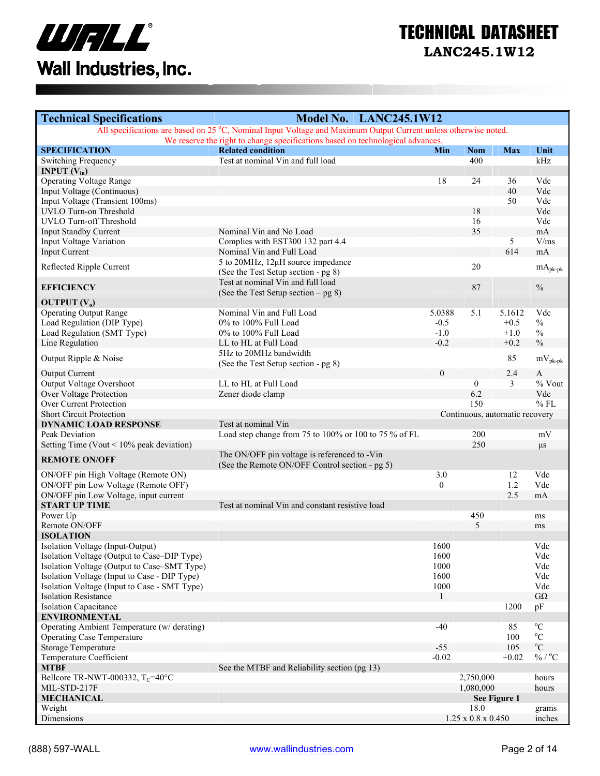

# TECHNICAL DATASHEET

**LANC245.1W12** 

| All specifications are based on 25 °C, Nominal Input Voltage and Maximum Output Current unless otherwise noted.<br>We reserve the right to change specifications based on technological advances.<br><b>Related condition</b><br><b>SPECIFICATION</b><br>Unit<br>Min<br><b>Nom</b><br><b>Max</b><br>Test at nominal Vin and full load<br>kHz<br>400<br>Switching Frequency<br><b>INPUT</b> $(V_{in})$<br><b>Operating Voltage Range</b><br>18<br>Vdc<br>24<br>36<br>40<br>Vdc<br>Input Voltage (Continuous)<br>Input Voltage (Transient 100ms)<br>Vdc<br>50<br><b>UVLO Turn-on Threshold</b><br>Vdc<br>18<br><b>UVLO Turn-off Threshold</b><br>Vdc<br>16<br>35<br>Nominal Vin and No Load<br>mA<br><b>Input Standby Current</b><br>Complies with EST300 132 part 4.4<br>Input Voltage Variation<br>5<br>V/ms<br>614<br><b>Input Current</b><br>Nominal Vin and Full Load<br>mA<br>5 to 20MHz, 12µH source impedance<br>20<br>Reflected Ripple Current<br>$mA_{pk-pk}$<br>(See the Test Setup section - pg 8)<br>Test at nominal Vin and full load<br>$\frac{0}{0}$<br>87<br><b>EFFICIENCY</b><br>(See the Test Setup section $-$ pg 8)<br><b>OUTPUT</b> $(V_0)$<br><b>Operating Output Range</b><br>Nominal Vin and Full Load<br>5.0388<br>5.1<br>5.1612<br>Vdc<br>Load Regulation (DIP Type)<br>0% to 100% Full Load<br>$-0.5$<br>$+0.5$<br>$\frac{0}{0}$<br>Load Regulation (SMT Type)<br>0% to 100% Full Load<br>$-1.0$<br>$\%$<br>$+1.0$<br>$\frac{0}{0}$<br>$-0.2$<br>Line Regulation<br>$+0.2$<br>LL to HL at Full Load<br>5Hz to 20MHz bandwidth<br>85<br>Output Ripple & Noise<br>$mV_{\rm pk\mbox{-}pk}$<br>(See the Test Setup section - pg 8)<br>$\overline{0}$<br>2.4<br><b>Output Current</b><br>$\mathbf{A}$<br>$%$ Vout<br>Output Voltage Overshoot<br>LL to HL at Full Load<br>$\mathbf{0}$<br>3<br><b>Over Voltage Protection</b><br>6.2<br>Vdc<br>Zener diode clamp<br>Over Current Protection<br>$%$ FL<br>150<br><b>Short Circuit Protection</b><br>Continuous, automatic recovery<br><b>DYNAMIC LOAD RESPONSE</b><br>Test at nominal Vin<br>Load step change from 75 to 100% or 100 to 75 % of FL<br>200<br>Peak Deviation<br>mV<br>250<br>Setting Time (Vout $< 10\%$ peak deviation)<br>$\mu$ s<br>The ON/OFF pin voltage is referenced to -Vin<br><b>REMOTE ON/OFF</b><br>(See the Remote ON/OFF Control section - pg 5)<br>3.0<br>Vdc<br>ON/OFF pin High Voltage (Remote ON)<br>12<br>1.2<br>ON/OFF pin Low Voltage (Remote OFF)<br>$\mathbf{0}$<br>Vdc<br>2.5<br>ON/OFF pin Low Voltage, input current<br>mA<br><b>START UP TIME</b><br>Test at nominal Vin and constant resistive load<br>Power Up<br>450<br>ms<br>Remote ON/OFF<br>5<br>ms<br><b>ISOLATION</b><br>1600<br>Isolation Voltage (Input-Output)<br>Vdc<br>Isolation Voltage (Output to Case–DIP Type)<br>1600<br>Vdc<br>Isolation Voltage (Output to Case-SMT Type)<br>1000<br>Vdc<br>Isolation Voltage (Input to Case - DIP Type)<br>Vdc<br>1600<br>Isolation Voltage (Input to Case - SMT Type)<br>1000<br>Vdc<br>$G\Omega$<br><b>Isolation Resistance</b><br><b>Isolation Capacitance</b><br>1200<br>pF<br><b>ENVIRONMENTAL</b><br>$^{\circ}C$<br>Operating Ambient Temperature (w/ derating)<br>$-40$<br>85<br>$\rm ^{o}C$<br><b>Operating Case Temperature</b><br>100<br>$^{\rm o}{\rm C}$<br><b>Storage Temperature</b><br>105<br>$-55$<br>% / $^{\circ}$ C<br>Temperature Coefficient<br>$-0.02$<br>$+0.02$<br>See the MTBF and Reliability section (pg 13)<br><b>MTBF</b><br>Bellcore TR-NWT-000332, $T_c$ =40°C<br>2,750,000<br>hours<br>MIL-STD-217F<br>1,080,000<br>hours<br><b>MECHANICAL</b><br>See Figure 1<br>Weight<br>18.0<br>grams<br>$1.25$ x $0.8$ x $0.450$ | <b>Technical Specifications</b> | Model No. LANC245.1W12 |  |        |
|-------------------------------------------------------------------------------------------------------------------------------------------------------------------------------------------------------------------------------------------------------------------------------------------------------------------------------------------------------------------------------------------------------------------------------------------------------------------------------------------------------------------------------------------------------------------------------------------------------------------------------------------------------------------------------------------------------------------------------------------------------------------------------------------------------------------------------------------------------------------------------------------------------------------------------------------------------------------------------------------------------------------------------------------------------------------------------------------------------------------------------------------------------------------------------------------------------------------------------------------------------------------------------------------------------------------------------------------------------------------------------------------------------------------------------------------------------------------------------------------------------------------------------------------------------------------------------------------------------------------------------------------------------------------------------------------------------------------------------------------------------------------------------------------------------------------------------------------------------------------------------------------------------------------------------------------------------------------------------------------------------------------------------------------------------------------------------------------------------------------------------------------------------------------------------------------------------------------------------------------------------------------------------------------------------------------------------------------------------------------------------------------------------------------------------------------------------------------------------------------------------------------------------------------------------------------------------------------------------------------------------------------------------------------------------------------------------------------------------------------------------------------------------------------------------------------------------------------------------------------------------------------------------------------------------------------------------------------------------------------------------------------------------------------------------------------------------------------------------------------------------------------------------------------------------------------------------------------------------------------------------------------------------------------------------------------------------------------------------------------------------------------------------------------------------------------------------------------------------------------------------------------------------------------------------------------------------------------------------------------------------------------------------------------------|---------------------------------|------------------------|--|--------|
|                                                                                                                                                                                                                                                                                                                                                                                                                                                                                                                                                                                                                                                                                                                                                                                                                                                                                                                                                                                                                                                                                                                                                                                                                                                                                                                                                                                                                                                                                                                                                                                                                                                                                                                                                                                                                                                                                                                                                                                                                                                                                                                                                                                                                                                                                                                                                                                                                                                                                                                                                                                                                                                                                                                                                                                                                                                                                                                                                                                                                                                                                                                                                                                                                                                                                                                                                                                                                                                                                                                                                                                                                                                                         |                                 |                        |  |        |
|                                                                                                                                                                                                                                                                                                                                                                                                                                                                                                                                                                                                                                                                                                                                                                                                                                                                                                                                                                                                                                                                                                                                                                                                                                                                                                                                                                                                                                                                                                                                                                                                                                                                                                                                                                                                                                                                                                                                                                                                                                                                                                                                                                                                                                                                                                                                                                                                                                                                                                                                                                                                                                                                                                                                                                                                                                                                                                                                                                                                                                                                                                                                                                                                                                                                                                                                                                                                                                                                                                                                                                                                                                                                         |                                 |                        |  |        |
|                                                                                                                                                                                                                                                                                                                                                                                                                                                                                                                                                                                                                                                                                                                                                                                                                                                                                                                                                                                                                                                                                                                                                                                                                                                                                                                                                                                                                                                                                                                                                                                                                                                                                                                                                                                                                                                                                                                                                                                                                                                                                                                                                                                                                                                                                                                                                                                                                                                                                                                                                                                                                                                                                                                                                                                                                                                                                                                                                                                                                                                                                                                                                                                                                                                                                                                                                                                                                                                                                                                                                                                                                                                                         |                                 |                        |  |        |
|                                                                                                                                                                                                                                                                                                                                                                                                                                                                                                                                                                                                                                                                                                                                                                                                                                                                                                                                                                                                                                                                                                                                                                                                                                                                                                                                                                                                                                                                                                                                                                                                                                                                                                                                                                                                                                                                                                                                                                                                                                                                                                                                                                                                                                                                                                                                                                                                                                                                                                                                                                                                                                                                                                                                                                                                                                                                                                                                                                                                                                                                                                                                                                                                                                                                                                                                                                                                                                                                                                                                                                                                                                                                         |                                 |                        |  |        |
|                                                                                                                                                                                                                                                                                                                                                                                                                                                                                                                                                                                                                                                                                                                                                                                                                                                                                                                                                                                                                                                                                                                                                                                                                                                                                                                                                                                                                                                                                                                                                                                                                                                                                                                                                                                                                                                                                                                                                                                                                                                                                                                                                                                                                                                                                                                                                                                                                                                                                                                                                                                                                                                                                                                                                                                                                                                                                                                                                                                                                                                                                                                                                                                                                                                                                                                                                                                                                                                                                                                                                                                                                                                                         |                                 |                        |  |        |
|                                                                                                                                                                                                                                                                                                                                                                                                                                                                                                                                                                                                                                                                                                                                                                                                                                                                                                                                                                                                                                                                                                                                                                                                                                                                                                                                                                                                                                                                                                                                                                                                                                                                                                                                                                                                                                                                                                                                                                                                                                                                                                                                                                                                                                                                                                                                                                                                                                                                                                                                                                                                                                                                                                                                                                                                                                                                                                                                                                                                                                                                                                                                                                                                                                                                                                                                                                                                                                                                                                                                                                                                                                                                         |                                 |                        |  |        |
|                                                                                                                                                                                                                                                                                                                                                                                                                                                                                                                                                                                                                                                                                                                                                                                                                                                                                                                                                                                                                                                                                                                                                                                                                                                                                                                                                                                                                                                                                                                                                                                                                                                                                                                                                                                                                                                                                                                                                                                                                                                                                                                                                                                                                                                                                                                                                                                                                                                                                                                                                                                                                                                                                                                                                                                                                                                                                                                                                                                                                                                                                                                                                                                                                                                                                                                                                                                                                                                                                                                                                                                                                                                                         |                                 |                        |  |        |
|                                                                                                                                                                                                                                                                                                                                                                                                                                                                                                                                                                                                                                                                                                                                                                                                                                                                                                                                                                                                                                                                                                                                                                                                                                                                                                                                                                                                                                                                                                                                                                                                                                                                                                                                                                                                                                                                                                                                                                                                                                                                                                                                                                                                                                                                                                                                                                                                                                                                                                                                                                                                                                                                                                                                                                                                                                                                                                                                                                                                                                                                                                                                                                                                                                                                                                                                                                                                                                                                                                                                                                                                                                                                         |                                 |                        |  |        |
|                                                                                                                                                                                                                                                                                                                                                                                                                                                                                                                                                                                                                                                                                                                                                                                                                                                                                                                                                                                                                                                                                                                                                                                                                                                                                                                                                                                                                                                                                                                                                                                                                                                                                                                                                                                                                                                                                                                                                                                                                                                                                                                                                                                                                                                                                                                                                                                                                                                                                                                                                                                                                                                                                                                                                                                                                                                                                                                                                                                                                                                                                                                                                                                                                                                                                                                                                                                                                                                                                                                                                                                                                                                                         |                                 |                        |  |        |
|                                                                                                                                                                                                                                                                                                                                                                                                                                                                                                                                                                                                                                                                                                                                                                                                                                                                                                                                                                                                                                                                                                                                                                                                                                                                                                                                                                                                                                                                                                                                                                                                                                                                                                                                                                                                                                                                                                                                                                                                                                                                                                                                                                                                                                                                                                                                                                                                                                                                                                                                                                                                                                                                                                                                                                                                                                                                                                                                                                                                                                                                                                                                                                                                                                                                                                                                                                                                                                                                                                                                                                                                                                                                         |                                 |                        |  |        |
|                                                                                                                                                                                                                                                                                                                                                                                                                                                                                                                                                                                                                                                                                                                                                                                                                                                                                                                                                                                                                                                                                                                                                                                                                                                                                                                                                                                                                                                                                                                                                                                                                                                                                                                                                                                                                                                                                                                                                                                                                                                                                                                                                                                                                                                                                                                                                                                                                                                                                                                                                                                                                                                                                                                                                                                                                                                                                                                                                                                                                                                                                                                                                                                                                                                                                                                                                                                                                                                                                                                                                                                                                                                                         |                                 |                        |  |        |
|                                                                                                                                                                                                                                                                                                                                                                                                                                                                                                                                                                                                                                                                                                                                                                                                                                                                                                                                                                                                                                                                                                                                                                                                                                                                                                                                                                                                                                                                                                                                                                                                                                                                                                                                                                                                                                                                                                                                                                                                                                                                                                                                                                                                                                                                                                                                                                                                                                                                                                                                                                                                                                                                                                                                                                                                                                                                                                                                                                                                                                                                                                                                                                                                                                                                                                                                                                                                                                                                                                                                                                                                                                                                         |                                 |                        |  |        |
|                                                                                                                                                                                                                                                                                                                                                                                                                                                                                                                                                                                                                                                                                                                                                                                                                                                                                                                                                                                                                                                                                                                                                                                                                                                                                                                                                                                                                                                                                                                                                                                                                                                                                                                                                                                                                                                                                                                                                                                                                                                                                                                                                                                                                                                                                                                                                                                                                                                                                                                                                                                                                                                                                                                                                                                                                                                                                                                                                                                                                                                                                                                                                                                                                                                                                                                                                                                                                                                                                                                                                                                                                                                                         |                                 |                        |  |        |
|                                                                                                                                                                                                                                                                                                                                                                                                                                                                                                                                                                                                                                                                                                                                                                                                                                                                                                                                                                                                                                                                                                                                                                                                                                                                                                                                                                                                                                                                                                                                                                                                                                                                                                                                                                                                                                                                                                                                                                                                                                                                                                                                                                                                                                                                                                                                                                                                                                                                                                                                                                                                                                                                                                                                                                                                                                                                                                                                                                                                                                                                                                                                                                                                                                                                                                                                                                                                                                                                                                                                                                                                                                                                         |                                 |                        |  |        |
|                                                                                                                                                                                                                                                                                                                                                                                                                                                                                                                                                                                                                                                                                                                                                                                                                                                                                                                                                                                                                                                                                                                                                                                                                                                                                                                                                                                                                                                                                                                                                                                                                                                                                                                                                                                                                                                                                                                                                                                                                                                                                                                                                                                                                                                                                                                                                                                                                                                                                                                                                                                                                                                                                                                                                                                                                                                                                                                                                                                                                                                                                                                                                                                                                                                                                                                                                                                                                                                                                                                                                                                                                                                                         |                                 |                        |  |        |
|                                                                                                                                                                                                                                                                                                                                                                                                                                                                                                                                                                                                                                                                                                                                                                                                                                                                                                                                                                                                                                                                                                                                                                                                                                                                                                                                                                                                                                                                                                                                                                                                                                                                                                                                                                                                                                                                                                                                                                                                                                                                                                                                                                                                                                                                                                                                                                                                                                                                                                                                                                                                                                                                                                                                                                                                                                                                                                                                                                                                                                                                                                                                                                                                                                                                                                                                                                                                                                                                                                                                                                                                                                                                         |                                 |                        |  |        |
|                                                                                                                                                                                                                                                                                                                                                                                                                                                                                                                                                                                                                                                                                                                                                                                                                                                                                                                                                                                                                                                                                                                                                                                                                                                                                                                                                                                                                                                                                                                                                                                                                                                                                                                                                                                                                                                                                                                                                                                                                                                                                                                                                                                                                                                                                                                                                                                                                                                                                                                                                                                                                                                                                                                                                                                                                                                                                                                                                                                                                                                                                                                                                                                                                                                                                                                                                                                                                                                                                                                                                                                                                                                                         |                                 |                        |  |        |
|                                                                                                                                                                                                                                                                                                                                                                                                                                                                                                                                                                                                                                                                                                                                                                                                                                                                                                                                                                                                                                                                                                                                                                                                                                                                                                                                                                                                                                                                                                                                                                                                                                                                                                                                                                                                                                                                                                                                                                                                                                                                                                                                                                                                                                                                                                                                                                                                                                                                                                                                                                                                                                                                                                                                                                                                                                                                                                                                                                                                                                                                                                                                                                                                                                                                                                                                                                                                                                                                                                                                                                                                                                                                         |                                 |                        |  |        |
|                                                                                                                                                                                                                                                                                                                                                                                                                                                                                                                                                                                                                                                                                                                                                                                                                                                                                                                                                                                                                                                                                                                                                                                                                                                                                                                                                                                                                                                                                                                                                                                                                                                                                                                                                                                                                                                                                                                                                                                                                                                                                                                                                                                                                                                                                                                                                                                                                                                                                                                                                                                                                                                                                                                                                                                                                                                                                                                                                                                                                                                                                                                                                                                                                                                                                                                                                                                                                                                                                                                                                                                                                                                                         |                                 |                        |  |        |
|                                                                                                                                                                                                                                                                                                                                                                                                                                                                                                                                                                                                                                                                                                                                                                                                                                                                                                                                                                                                                                                                                                                                                                                                                                                                                                                                                                                                                                                                                                                                                                                                                                                                                                                                                                                                                                                                                                                                                                                                                                                                                                                                                                                                                                                                                                                                                                                                                                                                                                                                                                                                                                                                                                                                                                                                                                                                                                                                                                                                                                                                                                                                                                                                                                                                                                                                                                                                                                                                                                                                                                                                                                                                         |                                 |                        |  |        |
|                                                                                                                                                                                                                                                                                                                                                                                                                                                                                                                                                                                                                                                                                                                                                                                                                                                                                                                                                                                                                                                                                                                                                                                                                                                                                                                                                                                                                                                                                                                                                                                                                                                                                                                                                                                                                                                                                                                                                                                                                                                                                                                                                                                                                                                                                                                                                                                                                                                                                                                                                                                                                                                                                                                                                                                                                                                                                                                                                                                                                                                                                                                                                                                                                                                                                                                                                                                                                                                                                                                                                                                                                                                                         |                                 |                        |  |        |
|                                                                                                                                                                                                                                                                                                                                                                                                                                                                                                                                                                                                                                                                                                                                                                                                                                                                                                                                                                                                                                                                                                                                                                                                                                                                                                                                                                                                                                                                                                                                                                                                                                                                                                                                                                                                                                                                                                                                                                                                                                                                                                                                                                                                                                                                                                                                                                                                                                                                                                                                                                                                                                                                                                                                                                                                                                                                                                                                                                                                                                                                                                                                                                                                                                                                                                                                                                                                                                                                                                                                                                                                                                                                         |                                 |                        |  |        |
|                                                                                                                                                                                                                                                                                                                                                                                                                                                                                                                                                                                                                                                                                                                                                                                                                                                                                                                                                                                                                                                                                                                                                                                                                                                                                                                                                                                                                                                                                                                                                                                                                                                                                                                                                                                                                                                                                                                                                                                                                                                                                                                                                                                                                                                                                                                                                                                                                                                                                                                                                                                                                                                                                                                                                                                                                                                                                                                                                                                                                                                                                                                                                                                                                                                                                                                                                                                                                                                                                                                                                                                                                                                                         |                                 |                        |  |        |
|                                                                                                                                                                                                                                                                                                                                                                                                                                                                                                                                                                                                                                                                                                                                                                                                                                                                                                                                                                                                                                                                                                                                                                                                                                                                                                                                                                                                                                                                                                                                                                                                                                                                                                                                                                                                                                                                                                                                                                                                                                                                                                                                                                                                                                                                                                                                                                                                                                                                                                                                                                                                                                                                                                                                                                                                                                                                                                                                                                                                                                                                                                                                                                                                                                                                                                                                                                                                                                                                                                                                                                                                                                                                         |                                 |                        |  |        |
|                                                                                                                                                                                                                                                                                                                                                                                                                                                                                                                                                                                                                                                                                                                                                                                                                                                                                                                                                                                                                                                                                                                                                                                                                                                                                                                                                                                                                                                                                                                                                                                                                                                                                                                                                                                                                                                                                                                                                                                                                                                                                                                                                                                                                                                                                                                                                                                                                                                                                                                                                                                                                                                                                                                                                                                                                                                                                                                                                                                                                                                                                                                                                                                                                                                                                                                                                                                                                                                                                                                                                                                                                                                                         |                                 |                        |  |        |
|                                                                                                                                                                                                                                                                                                                                                                                                                                                                                                                                                                                                                                                                                                                                                                                                                                                                                                                                                                                                                                                                                                                                                                                                                                                                                                                                                                                                                                                                                                                                                                                                                                                                                                                                                                                                                                                                                                                                                                                                                                                                                                                                                                                                                                                                                                                                                                                                                                                                                                                                                                                                                                                                                                                                                                                                                                                                                                                                                                                                                                                                                                                                                                                                                                                                                                                                                                                                                                                                                                                                                                                                                                                                         |                                 |                        |  |        |
|                                                                                                                                                                                                                                                                                                                                                                                                                                                                                                                                                                                                                                                                                                                                                                                                                                                                                                                                                                                                                                                                                                                                                                                                                                                                                                                                                                                                                                                                                                                                                                                                                                                                                                                                                                                                                                                                                                                                                                                                                                                                                                                                                                                                                                                                                                                                                                                                                                                                                                                                                                                                                                                                                                                                                                                                                                                                                                                                                                                                                                                                                                                                                                                                                                                                                                                                                                                                                                                                                                                                                                                                                                                                         |                                 |                        |  |        |
|                                                                                                                                                                                                                                                                                                                                                                                                                                                                                                                                                                                                                                                                                                                                                                                                                                                                                                                                                                                                                                                                                                                                                                                                                                                                                                                                                                                                                                                                                                                                                                                                                                                                                                                                                                                                                                                                                                                                                                                                                                                                                                                                                                                                                                                                                                                                                                                                                                                                                                                                                                                                                                                                                                                                                                                                                                                                                                                                                                                                                                                                                                                                                                                                                                                                                                                                                                                                                                                                                                                                                                                                                                                                         |                                 |                        |  |        |
|                                                                                                                                                                                                                                                                                                                                                                                                                                                                                                                                                                                                                                                                                                                                                                                                                                                                                                                                                                                                                                                                                                                                                                                                                                                                                                                                                                                                                                                                                                                                                                                                                                                                                                                                                                                                                                                                                                                                                                                                                                                                                                                                                                                                                                                                                                                                                                                                                                                                                                                                                                                                                                                                                                                                                                                                                                                                                                                                                                                                                                                                                                                                                                                                                                                                                                                                                                                                                                                                                                                                                                                                                                                                         |                                 |                        |  |        |
|                                                                                                                                                                                                                                                                                                                                                                                                                                                                                                                                                                                                                                                                                                                                                                                                                                                                                                                                                                                                                                                                                                                                                                                                                                                                                                                                                                                                                                                                                                                                                                                                                                                                                                                                                                                                                                                                                                                                                                                                                                                                                                                                                                                                                                                                                                                                                                                                                                                                                                                                                                                                                                                                                                                                                                                                                                                                                                                                                                                                                                                                                                                                                                                                                                                                                                                                                                                                                                                                                                                                                                                                                                                                         |                                 |                        |  |        |
|                                                                                                                                                                                                                                                                                                                                                                                                                                                                                                                                                                                                                                                                                                                                                                                                                                                                                                                                                                                                                                                                                                                                                                                                                                                                                                                                                                                                                                                                                                                                                                                                                                                                                                                                                                                                                                                                                                                                                                                                                                                                                                                                                                                                                                                                                                                                                                                                                                                                                                                                                                                                                                                                                                                                                                                                                                                                                                                                                                                                                                                                                                                                                                                                                                                                                                                                                                                                                                                                                                                                                                                                                                                                         |                                 |                        |  |        |
|                                                                                                                                                                                                                                                                                                                                                                                                                                                                                                                                                                                                                                                                                                                                                                                                                                                                                                                                                                                                                                                                                                                                                                                                                                                                                                                                                                                                                                                                                                                                                                                                                                                                                                                                                                                                                                                                                                                                                                                                                                                                                                                                                                                                                                                                                                                                                                                                                                                                                                                                                                                                                                                                                                                                                                                                                                                                                                                                                                                                                                                                                                                                                                                                                                                                                                                                                                                                                                                                                                                                                                                                                                                                         |                                 |                        |  |        |
|                                                                                                                                                                                                                                                                                                                                                                                                                                                                                                                                                                                                                                                                                                                                                                                                                                                                                                                                                                                                                                                                                                                                                                                                                                                                                                                                                                                                                                                                                                                                                                                                                                                                                                                                                                                                                                                                                                                                                                                                                                                                                                                                                                                                                                                                                                                                                                                                                                                                                                                                                                                                                                                                                                                                                                                                                                                                                                                                                                                                                                                                                                                                                                                                                                                                                                                                                                                                                                                                                                                                                                                                                                                                         |                                 |                        |  |        |
|                                                                                                                                                                                                                                                                                                                                                                                                                                                                                                                                                                                                                                                                                                                                                                                                                                                                                                                                                                                                                                                                                                                                                                                                                                                                                                                                                                                                                                                                                                                                                                                                                                                                                                                                                                                                                                                                                                                                                                                                                                                                                                                                                                                                                                                                                                                                                                                                                                                                                                                                                                                                                                                                                                                                                                                                                                                                                                                                                                                                                                                                                                                                                                                                                                                                                                                                                                                                                                                                                                                                                                                                                                                                         |                                 |                        |  |        |
|                                                                                                                                                                                                                                                                                                                                                                                                                                                                                                                                                                                                                                                                                                                                                                                                                                                                                                                                                                                                                                                                                                                                                                                                                                                                                                                                                                                                                                                                                                                                                                                                                                                                                                                                                                                                                                                                                                                                                                                                                                                                                                                                                                                                                                                                                                                                                                                                                                                                                                                                                                                                                                                                                                                                                                                                                                                                                                                                                                                                                                                                                                                                                                                                                                                                                                                                                                                                                                                                                                                                                                                                                                                                         |                                 |                        |  |        |
|                                                                                                                                                                                                                                                                                                                                                                                                                                                                                                                                                                                                                                                                                                                                                                                                                                                                                                                                                                                                                                                                                                                                                                                                                                                                                                                                                                                                                                                                                                                                                                                                                                                                                                                                                                                                                                                                                                                                                                                                                                                                                                                                                                                                                                                                                                                                                                                                                                                                                                                                                                                                                                                                                                                                                                                                                                                                                                                                                                                                                                                                                                                                                                                                                                                                                                                                                                                                                                                                                                                                                                                                                                                                         |                                 |                        |  |        |
|                                                                                                                                                                                                                                                                                                                                                                                                                                                                                                                                                                                                                                                                                                                                                                                                                                                                                                                                                                                                                                                                                                                                                                                                                                                                                                                                                                                                                                                                                                                                                                                                                                                                                                                                                                                                                                                                                                                                                                                                                                                                                                                                                                                                                                                                                                                                                                                                                                                                                                                                                                                                                                                                                                                                                                                                                                                                                                                                                                                                                                                                                                                                                                                                                                                                                                                                                                                                                                                                                                                                                                                                                                                                         |                                 |                        |  |        |
|                                                                                                                                                                                                                                                                                                                                                                                                                                                                                                                                                                                                                                                                                                                                                                                                                                                                                                                                                                                                                                                                                                                                                                                                                                                                                                                                                                                                                                                                                                                                                                                                                                                                                                                                                                                                                                                                                                                                                                                                                                                                                                                                                                                                                                                                                                                                                                                                                                                                                                                                                                                                                                                                                                                                                                                                                                                                                                                                                                                                                                                                                                                                                                                                                                                                                                                                                                                                                                                                                                                                                                                                                                                                         |                                 |                        |  |        |
|                                                                                                                                                                                                                                                                                                                                                                                                                                                                                                                                                                                                                                                                                                                                                                                                                                                                                                                                                                                                                                                                                                                                                                                                                                                                                                                                                                                                                                                                                                                                                                                                                                                                                                                                                                                                                                                                                                                                                                                                                                                                                                                                                                                                                                                                                                                                                                                                                                                                                                                                                                                                                                                                                                                                                                                                                                                                                                                                                                                                                                                                                                                                                                                                                                                                                                                                                                                                                                                                                                                                                                                                                                                                         |                                 |                        |  |        |
|                                                                                                                                                                                                                                                                                                                                                                                                                                                                                                                                                                                                                                                                                                                                                                                                                                                                                                                                                                                                                                                                                                                                                                                                                                                                                                                                                                                                                                                                                                                                                                                                                                                                                                                                                                                                                                                                                                                                                                                                                                                                                                                                                                                                                                                                                                                                                                                                                                                                                                                                                                                                                                                                                                                                                                                                                                                                                                                                                                                                                                                                                                                                                                                                                                                                                                                                                                                                                                                                                                                                                                                                                                                                         |                                 |                        |  |        |
|                                                                                                                                                                                                                                                                                                                                                                                                                                                                                                                                                                                                                                                                                                                                                                                                                                                                                                                                                                                                                                                                                                                                                                                                                                                                                                                                                                                                                                                                                                                                                                                                                                                                                                                                                                                                                                                                                                                                                                                                                                                                                                                                                                                                                                                                                                                                                                                                                                                                                                                                                                                                                                                                                                                                                                                                                                                                                                                                                                                                                                                                                                                                                                                                                                                                                                                                                                                                                                                                                                                                                                                                                                                                         |                                 |                        |  |        |
|                                                                                                                                                                                                                                                                                                                                                                                                                                                                                                                                                                                                                                                                                                                                                                                                                                                                                                                                                                                                                                                                                                                                                                                                                                                                                                                                                                                                                                                                                                                                                                                                                                                                                                                                                                                                                                                                                                                                                                                                                                                                                                                                                                                                                                                                                                                                                                                                                                                                                                                                                                                                                                                                                                                                                                                                                                                                                                                                                                                                                                                                                                                                                                                                                                                                                                                                                                                                                                                                                                                                                                                                                                                                         |                                 |                        |  |        |
|                                                                                                                                                                                                                                                                                                                                                                                                                                                                                                                                                                                                                                                                                                                                                                                                                                                                                                                                                                                                                                                                                                                                                                                                                                                                                                                                                                                                                                                                                                                                                                                                                                                                                                                                                                                                                                                                                                                                                                                                                                                                                                                                                                                                                                                                                                                                                                                                                                                                                                                                                                                                                                                                                                                                                                                                                                                                                                                                                                                                                                                                                                                                                                                                                                                                                                                                                                                                                                                                                                                                                                                                                                                                         |                                 |                        |  |        |
|                                                                                                                                                                                                                                                                                                                                                                                                                                                                                                                                                                                                                                                                                                                                                                                                                                                                                                                                                                                                                                                                                                                                                                                                                                                                                                                                                                                                                                                                                                                                                                                                                                                                                                                                                                                                                                                                                                                                                                                                                                                                                                                                                                                                                                                                                                                                                                                                                                                                                                                                                                                                                                                                                                                                                                                                                                                                                                                                                                                                                                                                                                                                                                                                                                                                                                                                                                                                                                                                                                                                                                                                                                                                         |                                 |                        |  |        |
|                                                                                                                                                                                                                                                                                                                                                                                                                                                                                                                                                                                                                                                                                                                                                                                                                                                                                                                                                                                                                                                                                                                                                                                                                                                                                                                                                                                                                                                                                                                                                                                                                                                                                                                                                                                                                                                                                                                                                                                                                                                                                                                                                                                                                                                                                                                                                                                                                                                                                                                                                                                                                                                                                                                                                                                                                                                                                                                                                                                                                                                                                                                                                                                                                                                                                                                                                                                                                                                                                                                                                                                                                                                                         |                                 |                        |  |        |
|                                                                                                                                                                                                                                                                                                                                                                                                                                                                                                                                                                                                                                                                                                                                                                                                                                                                                                                                                                                                                                                                                                                                                                                                                                                                                                                                                                                                                                                                                                                                                                                                                                                                                                                                                                                                                                                                                                                                                                                                                                                                                                                                                                                                                                                                                                                                                                                                                                                                                                                                                                                                                                                                                                                                                                                                                                                                                                                                                                                                                                                                                                                                                                                                                                                                                                                                                                                                                                                                                                                                                                                                                                                                         |                                 |                        |  |        |
|                                                                                                                                                                                                                                                                                                                                                                                                                                                                                                                                                                                                                                                                                                                                                                                                                                                                                                                                                                                                                                                                                                                                                                                                                                                                                                                                                                                                                                                                                                                                                                                                                                                                                                                                                                                                                                                                                                                                                                                                                                                                                                                                                                                                                                                                                                                                                                                                                                                                                                                                                                                                                                                                                                                                                                                                                                                                                                                                                                                                                                                                                                                                                                                                                                                                                                                                                                                                                                                                                                                                                                                                                                                                         |                                 |                        |  |        |
|                                                                                                                                                                                                                                                                                                                                                                                                                                                                                                                                                                                                                                                                                                                                                                                                                                                                                                                                                                                                                                                                                                                                                                                                                                                                                                                                                                                                                                                                                                                                                                                                                                                                                                                                                                                                                                                                                                                                                                                                                                                                                                                                                                                                                                                                                                                                                                                                                                                                                                                                                                                                                                                                                                                                                                                                                                                                                                                                                                                                                                                                                                                                                                                                                                                                                                                                                                                                                                                                                                                                                                                                                                                                         |                                 |                        |  |        |
|                                                                                                                                                                                                                                                                                                                                                                                                                                                                                                                                                                                                                                                                                                                                                                                                                                                                                                                                                                                                                                                                                                                                                                                                                                                                                                                                                                                                                                                                                                                                                                                                                                                                                                                                                                                                                                                                                                                                                                                                                                                                                                                                                                                                                                                                                                                                                                                                                                                                                                                                                                                                                                                                                                                                                                                                                                                                                                                                                                                                                                                                                                                                                                                                                                                                                                                                                                                                                                                                                                                                                                                                                                                                         |                                 |                        |  |        |
|                                                                                                                                                                                                                                                                                                                                                                                                                                                                                                                                                                                                                                                                                                                                                                                                                                                                                                                                                                                                                                                                                                                                                                                                                                                                                                                                                                                                                                                                                                                                                                                                                                                                                                                                                                                                                                                                                                                                                                                                                                                                                                                                                                                                                                                                                                                                                                                                                                                                                                                                                                                                                                                                                                                                                                                                                                                                                                                                                                                                                                                                                                                                                                                                                                                                                                                                                                                                                                                                                                                                                                                                                                                                         |                                 |                        |  |        |
|                                                                                                                                                                                                                                                                                                                                                                                                                                                                                                                                                                                                                                                                                                                                                                                                                                                                                                                                                                                                                                                                                                                                                                                                                                                                                                                                                                                                                                                                                                                                                                                                                                                                                                                                                                                                                                                                                                                                                                                                                                                                                                                                                                                                                                                                                                                                                                                                                                                                                                                                                                                                                                                                                                                                                                                                                                                                                                                                                                                                                                                                                                                                                                                                                                                                                                                                                                                                                                                                                                                                                                                                                                                                         |                                 |                        |  |        |
|                                                                                                                                                                                                                                                                                                                                                                                                                                                                                                                                                                                                                                                                                                                                                                                                                                                                                                                                                                                                                                                                                                                                                                                                                                                                                                                                                                                                                                                                                                                                                                                                                                                                                                                                                                                                                                                                                                                                                                                                                                                                                                                                                                                                                                                                                                                                                                                                                                                                                                                                                                                                                                                                                                                                                                                                                                                                                                                                                                                                                                                                                                                                                                                                                                                                                                                                                                                                                                                                                                                                                                                                                                                                         |                                 |                        |  |        |
|                                                                                                                                                                                                                                                                                                                                                                                                                                                                                                                                                                                                                                                                                                                                                                                                                                                                                                                                                                                                                                                                                                                                                                                                                                                                                                                                                                                                                                                                                                                                                                                                                                                                                                                                                                                                                                                                                                                                                                                                                                                                                                                                                                                                                                                                                                                                                                                                                                                                                                                                                                                                                                                                                                                                                                                                                                                                                                                                                                                                                                                                                                                                                                                                                                                                                                                                                                                                                                                                                                                                                                                                                                                                         |                                 |                        |  |        |
|                                                                                                                                                                                                                                                                                                                                                                                                                                                                                                                                                                                                                                                                                                                                                                                                                                                                                                                                                                                                                                                                                                                                                                                                                                                                                                                                                                                                                                                                                                                                                                                                                                                                                                                                                                                                                                                                                                                                                                                                                                                                                                                                                                                                                                                                                                                                                                                                                                                                                                                                                                                                                                                                                                                                                                                                                                                                                                                                                                                                                                                                                                                                                                                                                                                                                                                                                                                                                                                                                                                                                                                                                                                                         |                                 |                        |  |        |
|                                                                                                                                                                                                                                                                                                                                                                                                                                                                                                                                                                                                                                                                                                                                                                                                                                                                                                                                                                                                                                                                                                                                                                                                                                                                                                                                                                                                                                                                                                                                                                                                                                                                                                                                                                                                                                                                                                                                                                                                                                                                                                                                                                                                                                                                                                                                                                                                                                                                                                                                                                                                                                                                                                                                                                                                                                                                                                                                                                                                                                                                                                                                                                                                                                                                                                                                                                                                                                                                                                                                                                                                                                                                         |                                 |                        |  |        |
|                                                                                                                                                                                                                                                                                                                                                                                                                                                                                                                                                                                                                                                                                                                                                                                                                                                                                                                                                                                                                                                                                                                                                                                                                                                                                                                                                                                                                                                                                                                                                                                                                                                                                                                                                                                                                                                                                                                                                                                                                                                                                                                                                                                                                                                                                                                                                                                                                                                                                                                                                                                                                                                                                                                                                                                                                                                                                                                                                                                                                                                                                                                                                                                                                                                                                                                                                                                                                                                                                                                                                                                                                                                                         |                                 |                        |  |        |
|                                                                                                                                                                                                                                                                                                                                                                                                                                                                                                                                                                                                                                                                                                                                                                                                                                                                                                                                                                                                                                                                                                                                                                                                                                                                                                                                                                                                                                                                                                                                                                                                                                                                                                                                                                                                                                                                                                                                                                                                                                                                                                                                                                                                                                                                                                                                                                                                                                                                                                                                                                                                                                                                                                                                                                                                                                                                                                                                                                                                                                                                                                                                                                                                                                                                                                                                                                                                                                                                                                                                                                                                                                                                         |                                 |                        |  |        |
|                                                                                                                                                                                                                                                                                                                                                                                                                                                                                                                                                                                                                                                                                                                                                                                                                                                                                                                                                                                                                                                                                                                                                                                                                                                                                                                                                                                                                                                                                                                                                                                                                                                                                                                                                                                                                                                                                                                                                                                                                                                                                                                                                                                                                                                                                                                                                                                                                                                                                                                                                                                                                                                                                                                                                                                                                                                                                                                                                                                                                                                                                                                                                                                                                                                                                                                                                                                                                                                                                                                                                                                                                                                                         |                                 |                        |  |        |
|                                                                                                                                                                                                                                                                                                                                                                                                                                                                                                                                                                                                                                                                                                                                                                                                                                                                                                                                                                                                                                                                                                                                                                                                                                                                                                                                                                                                                                                                                                                                                                                                                                                                                                                                                                                                                                                                                                                                                                                                                                                                                                                                                                                                                                                                                                                                                                                                                                                                                                                                                                                                                                                                                                                                                                                                                                                                                                                                                                                                                                                                                                                                                                                                                                                                                                                                                                                                                                                                                                                                                                                                                                                                         | Dimensions                      |                        |  | inches |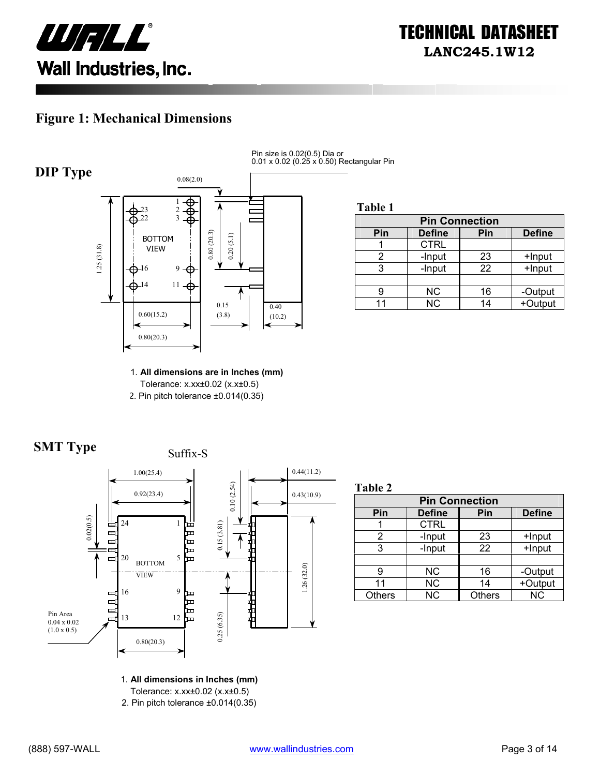

### **Figure 1: Mechanical Dimensions**



Pin size is 0.02(0.5) Dia or 0.01 x 0.02 (0.25 x 0.50) Rectangular Pin

**Table 1**

| <b>Pin Connection</b> |               |     |               |  |
|-----------------------|---------------|-----|---------------|--|
| Pin                   | <b>Define</b> | Pin | <b>Define</b> |  |
|                       | <b>CTRL</b>   |     |               |  |
|                       | -Input        | 23  | +Input        |  |
|                       | -Input        | 22  | +Input        |  |
|                       |               |     |               |  |
|                       | <b>NC</b>     | 16  | -Output       |  |
|                       | <b>NC</b>     | 14  | +Output       |  |

1. **All dimensions are in Inches (mm)**  Tolerance: x.xx±0.02 (x.x±0.5) 2. Pin pitch tolerance ±0.014(0.35)





**Table 2**

| <b>Pin Connection</b> |               |               |               |  |
|-----------------------|---------------|---------------|---------------|--|
| Pin                   | <b>Define</b> | Pin           | <b>Define</b> |  |
|                       | <b>CTRL</b>   |               |               |  |
| 2                     | -Input        | 23            | +Input        |  |
| 3                     | -Input        | 22            | +Input        |  |
|                       |               |               |               |  |
| 9                     | ΝC            | 16            | -Output       |  |
| 11                    | <b>NC</b>     | 14            | +Output       |  |
| <b>Others</b>         | <b>NC</b>     | <b>Others</b> | <b>NC</b>     |  |

1. **All dimensions in Inches (mm)** 

Tolerance: x.xx±0.02 (x.x±0.5)

2. Pin pitch tolerance ±0.014(0.35)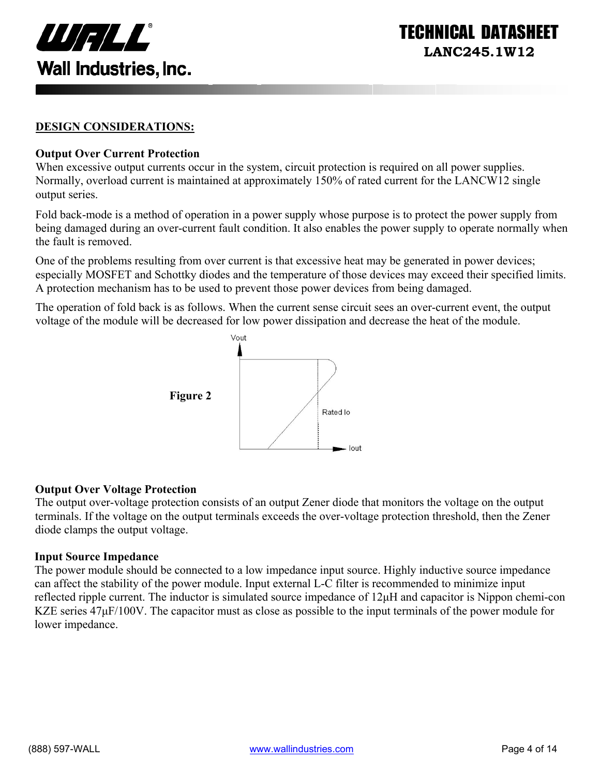

ECHNICAL DATASI **LANC245.1W12** 

#### **DESIGN CONSIDERATIONS:**

#### **Output Over Current Protection**

When excessive output currents occur in the system, circuit protection is required on all power supplies. Normally, overload current is maintained at approximately 150% of rated current for the LANCW12 single output series.

Fold back-mode is a method of operation in a power supply whose purpose is to protect the power supply from being damaged during an over-current fault condition. It also enables the power supply to operate normally when the fault is removed.

One of the problems resulting from over current is that excessive heat may be generated in power devices; especially MOSFET and Schottky diodes and the temperature of those devices may exceed their specified limits. A protection mechanism has to be used to prevent those power devices from being damaged.

The operation of fold back is as follows. When the current sense circuit sees an over-current event, the output voltage of the module will be decreased for low power dissipation and decrease the heat of the module.



#### **Output Over Voltage Protection**

The output over-voltage protection consists of an output Zener diode that monitors the voltage on the output terminals. If the voltage on the output terminals exceeds the over-voltage protection threshold, then the Zener diode clamps the output voltage.

#### **Input Source Impedance**

The power module should be connected to a low impedance input source. Highly inductive source impedance can affect the stability of the power module. Input external L-C filter is recommended to minimize input reflected ripple current. The inductor is simulated source impedance of 12µH and capacitor is Nippon chemi-con KZE series  $47\mu$ F/100V. The capacitor must as close as possible to the input terminals of the power module for lower impedance.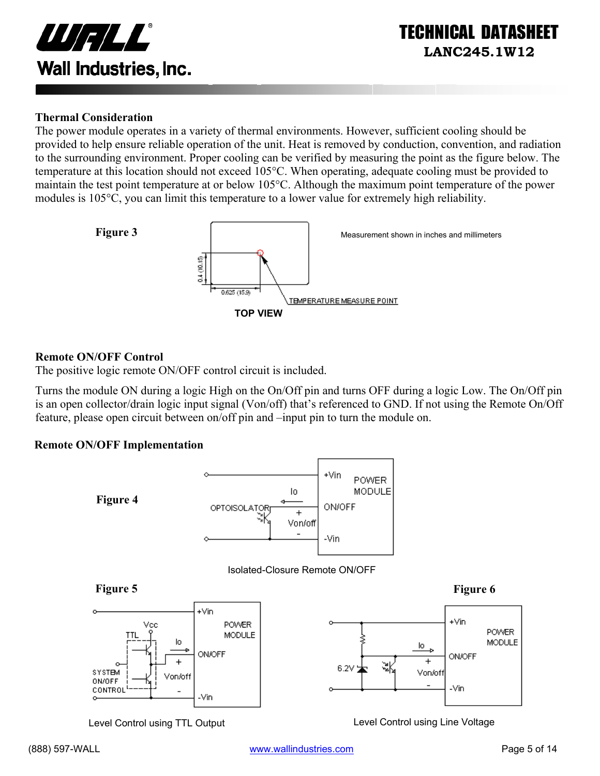

#### **Thermal Consideration**

The power module operates in a variety of thermal environments. However, sufficient cooling should be provided to help ensure reliable operation of the unit. Heat is removed by conduction, convention, and radiation to the surrounding environment. Proper cooling can be verified by measuring the point as the figure below. The temperature at this location should not exceed 105°C. When operating, adequate cooling must be provided to maintain the test point temperature at or below 105°C. Although the maximum point temperature of the power modules is 105°C, you can limit this temperature to a lower value for extremely high reliability.



#### **Remote ON/OFF Control**

The positive logic remote ON/OFF control circuit is included.

Turns the module ON during a logic High on the On/Off pin and turns OFF during a logic Low. The On/Off pin is an open collector/drain logic input signal (Von/off) that's referenced to GND. If not using the Remote On/Off feature, please open circuit between on/off pin and –input pin to turn the module on.

#### **Remote ON/OFF Implementation**



Level Control using TTL Output Level Control using Line Voltage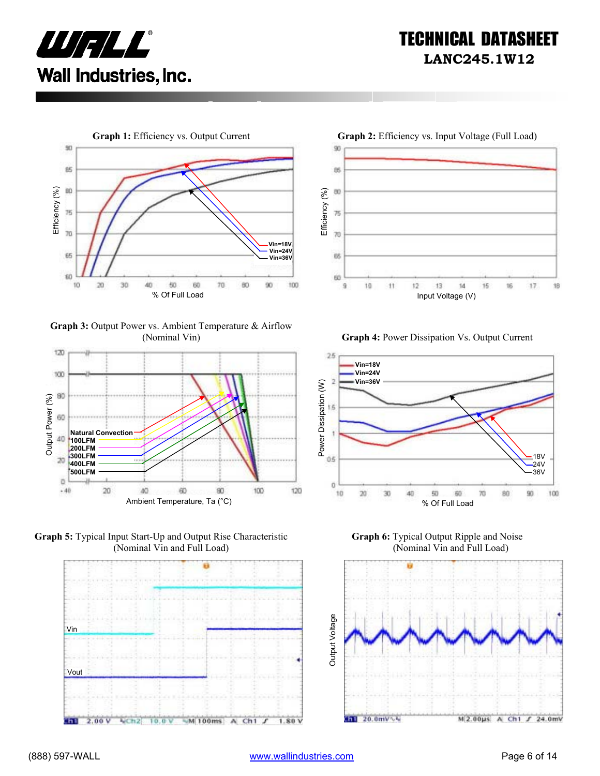



**Graph 3:** Output Power vs. Ambient Temperature & Airflow









(Nominal Vin) **Graph 4:** Power Dissipation Vs. Output Current



**Graph 6:** Typical Output Ripple and Noise (Nominal Vin and Full Load)

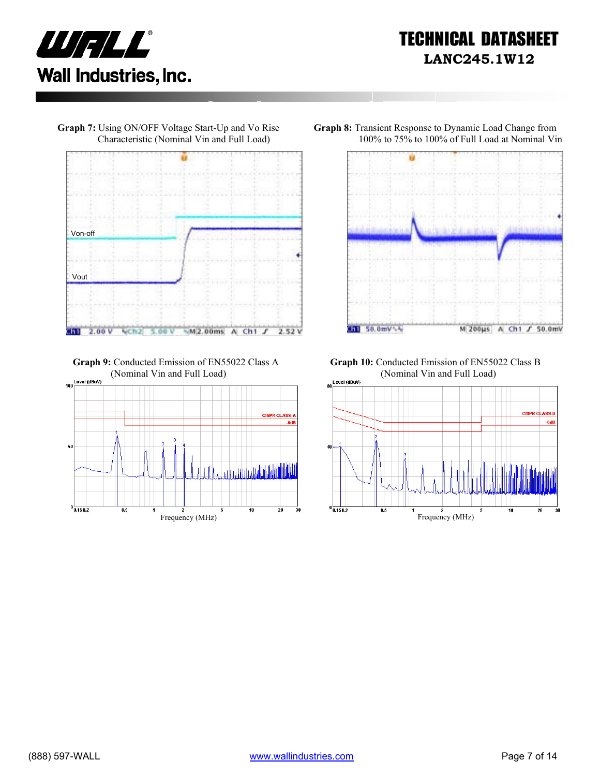



**Graph 7:** Using ON/OFF Voltage Start-Up and Vo Rise

 **Graph 9:** Conducted Emission of EN55022 Class A (Nominal Vin and Full Load)





**Graph 8:** Transient Response to Dynamic Load Change from 100% to 75% to 100% of Full Load at Nominal Vin

**Graph 10:** Conducted Emission of EN55022 Class B (Nominal Vin and Full Load)

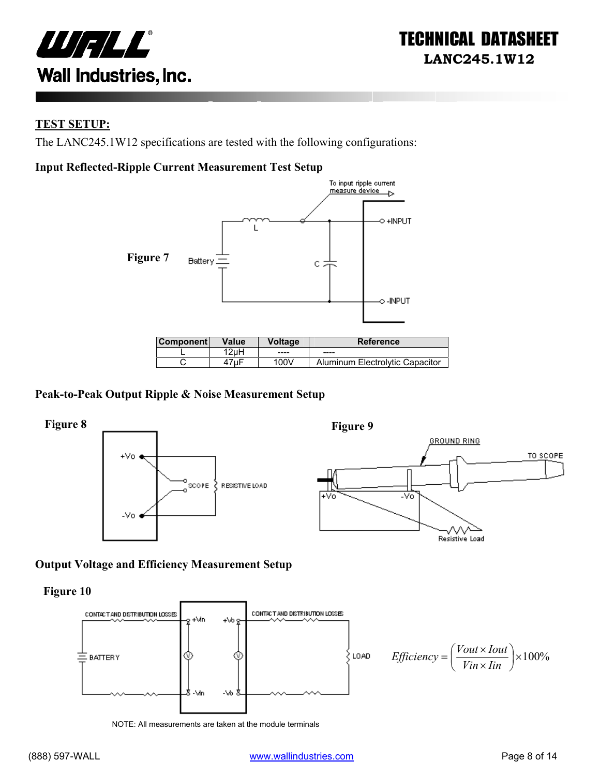

#### **TEST SETUP:**

The LANC245.1W12 specifications are tested with the following configurations:

#### **Input Reflected-Ripple Current Measurement Test Setup**



| ∣Component l | Value | Voltage | <b>Reference</b>                |
|--------------|-------|---------|---------------------------------|
|              | 2uH   | -----   | ----                            |
|              |       | 100V    | Aluminum Electrolytic Capacitor |

#### **Peak-to-Peak Output Ripple & Noise Measurement Setup**



#### **Output Voltage and Efficiency Measurement Setup**

**Figure 10** 



NOTE: All measurements are taken at the module terminals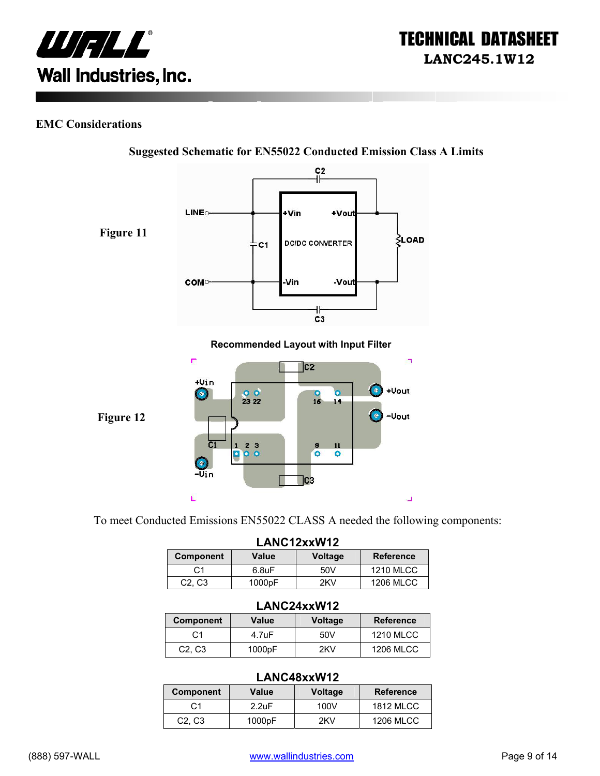

#### **EMC Considerations**



**Suggested Schematic for EN55022 Conducted Emission Class A Limits** 

To meet Conducted Emissions EN55022 CLASS A needed the following components:

| LANC12xxW12                     |                    |         |                  |
|---------------------------------|--------------------|---------|------------------|
| <b>Component</b>                | Value              | Voltage | <b>Reference</b> |
| C1                              | 6.8 <sub>U</sub> F | 50V     | <b>1210 MLCC</b> |
| C <sub>2</sub> , C <sub>3</sub> | 1000pF             | 2KV     | <b>1206 MLCC</b> |

#### **LANC24xxW12**

| <b>Component</b>                | Value  | <b>Voltage</b> | <b>Reference</b> |
|---------------------------------|--------|----------------|------------------|
| C1                              | 4.7uF  | 50V            | <b>1210 MLCC</b> |
| C <sub>2</sub> , C <sub>3</sub> | 1000pF | 2KV            | <b>1206 MLCC</b> |

#### **LANC48xxW12**

|                                 |                    | ---------------- |                  |
|---------------------------------|--------------------|------------------|------------------|
| Component                       | Value              | <b>Voltage</b>   | <b>Reference</b> |
| C <sub>1</sub>                  | 2.2 <sub>U</sub> F | 100V             | <b>1812 MLCC</b> |
| C <sub>2</sub> , C <sub>3</sub> | 1000pF             | 2KV              | <b>1206 MLCC</b> |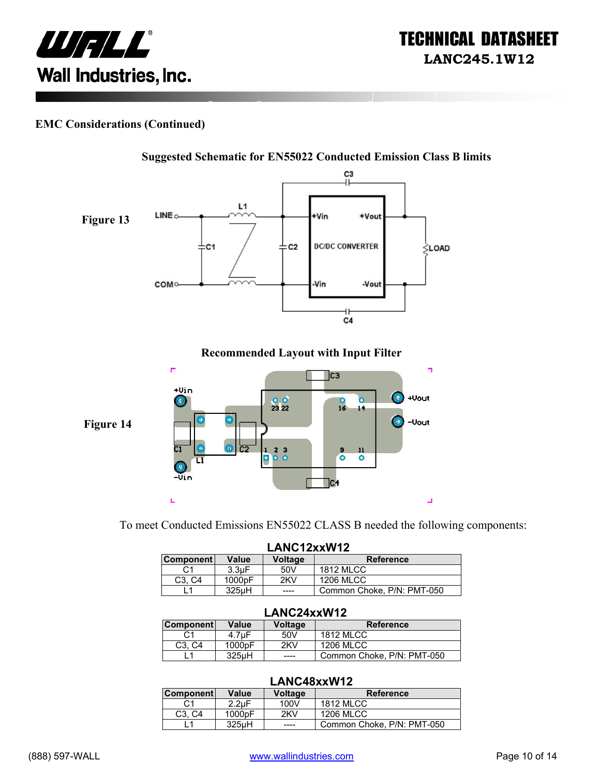

#### **EMC Considerations (Continued)**



To meet Conducted Emissions EN55022 CLASS B needed the following components:

|                                 | LANC12xxW12        |                |                            |
|---------------------------------|--------------------|----------------|----------------------------|
| <b>Component</b>                | Value              | <b>Voltage</b> | <b>Reference</b>           |
| C1                              | 3.3 <sub>U</sub> F | 50V            | <b>1812 MLCC</b>           |
| C <sub>3</sub> . C <sub>4</sub> | 1000pF             | 2KV            | <b>1206 MLCC</b>           |
|                                 | 325uH              | ----           | Common Choke, P/N: PMT-050 |

#### **LANC24xxW12**

| <b>Component</b>                | Value              | Voltage | <b>Reference</b>           |  |
|---------------------------------|--------------------|---------|----------------------------|--|
|                                 | 4.7 <sub>u</sub> F | 50V     | <b>1812 MLCC</b>           |  |
| C <sub>3</sub> . C <sub>4</sub> | 1000 <sub>pF</sub> | 2KV     | 1206 MLCC                  |  |
|                                 | 325uH              | ____    | Common Choke, P/N: PMT-050 |  |

#### **LANC48xxW12**

| <b>Component</b>                | Value              | Voltage | <b>Reference</b>           |
|---------------------------------|--------------------|---------|----------------------------|
| C1                              | $2.2 \text{uF}$    | 100V    | <b>1812 MLCC</b>           |
| C <sub>3</sub> . C <sub>4</sub> | 1000pF             | 2KV     | 1206 MLCC                  |
|                                 | 325 <sub>µ</sub> H | ----    | Common Choke, P/N: PMT-050 |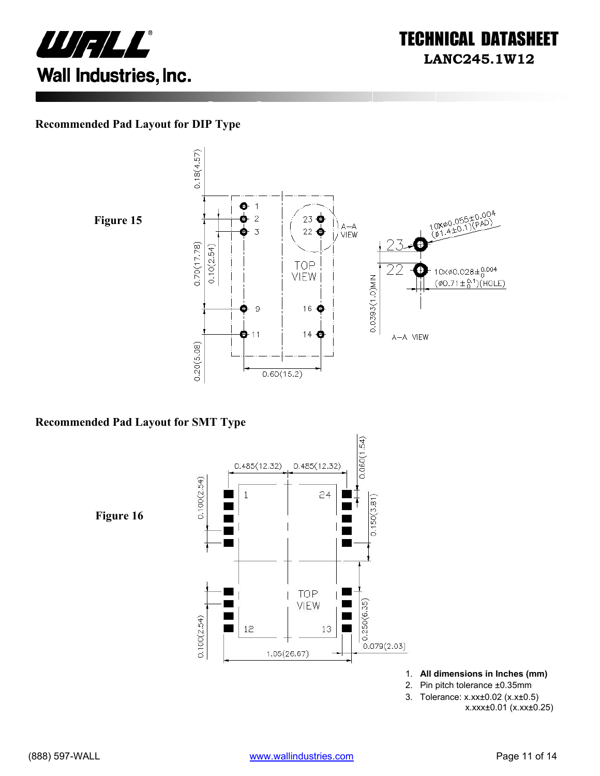

#### **Recommended Pad Layout for DIP Type**

**Figure 15** 



#### **Recommended Pad Layout for SMT Type**

 $0.060(1.54)$  $0.485(12.32)$  $0.485(12.32)$  $0.100(2.54)$  $\overline{1}$  $24$  $0.150(3.81)$ **Figure 16** Ξ  $\blacksquare$ TOP Ĭ. VIEW  $0.250(6.35)$  $0.100(2.54)$ 12 13  $0.079(2.03)$  $1.05(26.67)$ 

- 1. **All dimensions in Inches (mm)**
- 2. Pin pitch tolerance ±0.35mm
- 3. Tolerance: x.xx±0.02 (x.x±0.5)

x.xxx±0.01 (x.xx±0.25)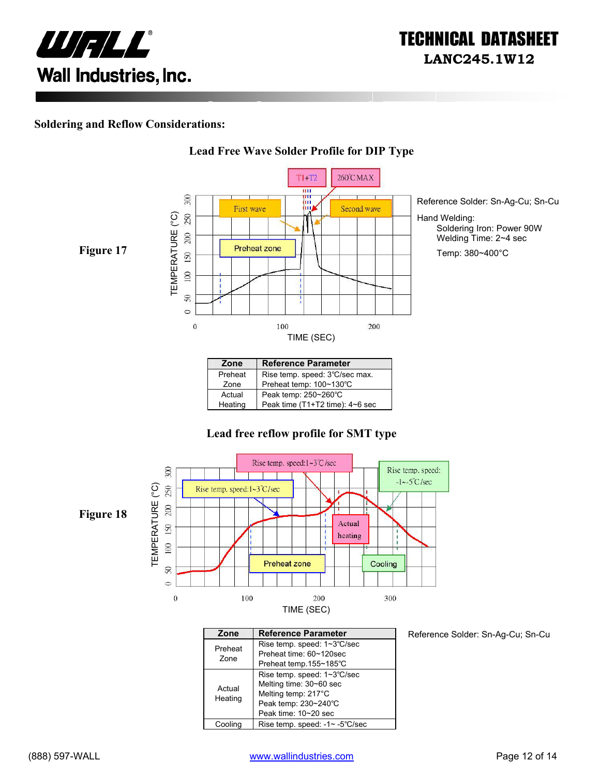

#### **Soldering and Reflow Considerations:**



**Lead Free Wave Solder Profile for DIP Type**

#### Preheat | Rise temp. speed: 3℃/sec max. Zone Preheat temp: 100~130℃ Actual Peak temp: 250~260°C<br>Heating Peak time (T1+T2 time) Peak time (T1+T2 time): 4~6 sec

#### **Lead free reflow profile for SMT type**



| Zone    | <b>Reference Parameter</b>     |
|---------|--------------------------------|
| Preheat | Rise temp. speed: 1~3°C/sec    |
| Zone    | Preheat time: 60~120sec        |
|         | Preheat temp.155~185°C         |
|         | Rise temp. speed: 1~3°C/sec    |
| Actual  | Melting time: 30~60 sec        |
| Heating | Melting temp: 217°C            |
|         | Peak temp: 230~240°C           |
|         | Peak time: 10~20 sec           |
| Coolina | Rise temp. speed: -1~ -5°C/sec |

Reference Solder: Sn-Ag-Cu; Sn-Cu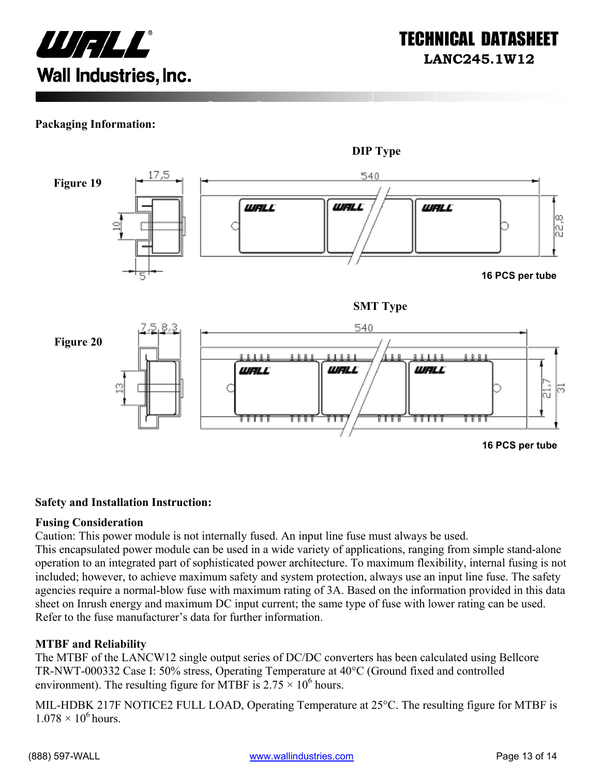

#### **Packaging Information:**



#### **Safety and Installation Instruction:**

#### **Fusing Consideration**

Caution: This power module is not internally fused. An input line fuse must always be used.

This encapsulated power module can be used in a wide variety of applications, ranging from simple stand-alone operation to an integrated part of sophisticated power architecture. To maximum flexibility, internal fusing is not included; however, to achieve maximum safety and system protection, always use an input line fuse. The safety agencies require a normal-blow fuse with maximum rating of 3A. Based on the information provided in this data sheet on Inrush energy and maximum DC input current; the same type of fuse with lower rating can be used. Refer to the fuse manufacturer's data for further information.

#### **MTBF and Reliability**

The MTBF of the LANCW12 single output series of DC/DC converters has been calculated using Bellcore TR-NWT-000332 Case I: 50% stress, Operating Temperature at 40°C (Ground fixed and controlled environment). The resulting figure for MTBF is  $2.75 \times 10^6$  hours.

MIL-HDBK 217F NOTICE2 FULL LOAD, Operating Temperature at 25°C. The resulting figure for MTBF is  $1.078 \times 10^6$  hours.